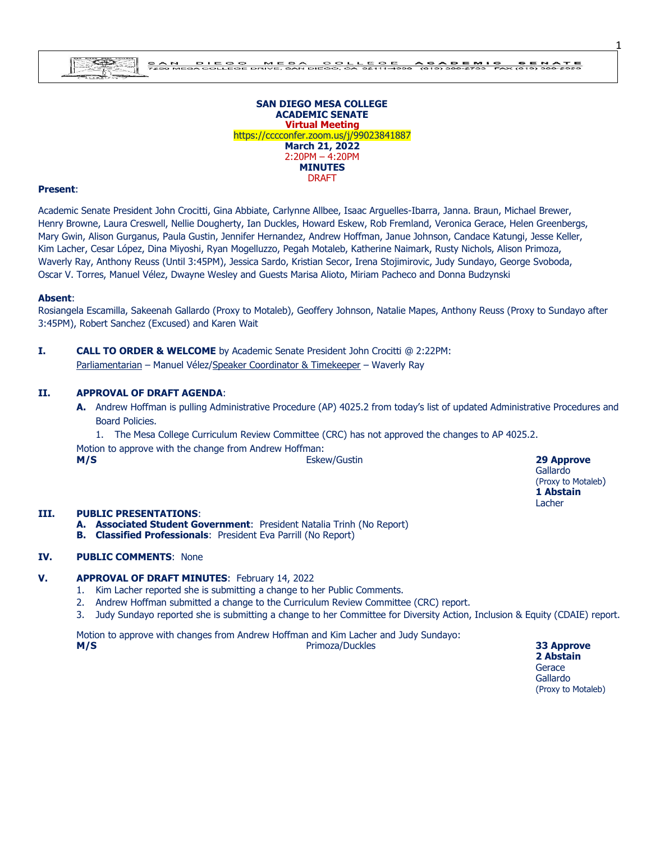

#### DI LOO DI MESA COLLEO E AGADE BINIO SENDIA 25<br>Accliege drive san diego ca 92111-4999 (619) Ses 753 Pax (619) Ses 2556  $\frac{B-A}{T}$

#### **SAN DIEGO MESA COLLEGE ACADEMIC SENATE Virtual Meeting** https://cccconfer.zoom.us/j/99023841887 **March 21, 2022** 2:20PM – 4:20PM **MINUTES** DRAFT

#### **Present**:

Academic Senate President John Crocitti, Gina Abbiate, Carlynne Allbee, Isaac Arguelles-Ibarra, Janna. Braun, Michael Brewer, Henry Browne, Laura Creswell, Nellie Dougherty, Ian Duckles, Howard Eskew, Rob Fremland, Veronica Gerace, Helen Greenbergs, Mary Gwin, Alison Gurganus, Paula Gustin, Jennifer Hernandez, Andrew Hoffman, Janue Johnson, Candace Katungi, Jesse Keller, Kim Lacher, Cesar López, Dina Miyoshi, Ryan Mogelluzzo, Pegah Motaleb, Katherine Naimark, Rusty Nichols, Alison Primoza, Waverly Ray, Anthony Reuss (Until 3:45PM), Jessica Sardo, Kristian Secor, Irena Stojimirovic, Judy Sundayo, George Svoboda, Oscar V. Torres, Manuel Vélez, Dwayne Wesley and Guests Marisa Alioto, Miriam Pacheco and Donna Budzynski

#### **Absent**:

Rosiangela Escamilla, Sakeenah Gallardo (Proxy to Motaleb), Geoffery Johnson, Natalie Mapes, Anthony Reuss (Proxy to Sundayo after 3:45PM), Robert Sanchez (Excused) and Karen Wait

**I. CALL TO ORDER & WELCOME** by Academic Senate President John Crocitti @ 2:22PM: Parliamentarian – Manuel Vélez/Speaker Coordinator & Timekeeper – Waverly Ray

#### **II. APPROVAL OF DRAFT AGENDA**:

**A.** Andrew Hoffman is pulling Administrative Procedure (AP) 4025.2 from today's list of updated Administrative Procedures and Board Policies.

1. The Mesa College Curriculum Review Committee (CRC) has not approved the changes to AP 4025.2. Motion to approve with the change from Andrew Hoffman: **M/S** Eskew/Gustin **29 Approve**

Gallardo (Proxy to Motaleb) **1 Abstain** Lacher

1

#### **III. PUBLIC PRESENTATIONS**:

- **A. Associated Student Government**: President Natalia Trinh (No Report)
- **B. Classified Professionals**: President Eva Parrill (No Report)

#### **IV. PUBLIC COMMENTS**: None

#### **V. APPROVAL OF DRAFT MINUTES**: February 14, 2022

- 1. Kim Lacher reported she is submitting a change to her Public Comments.
- 2. Andrew Hoffman submitted a change to the Curriculum Review Committee (CRC) report.
- 3. Judy Sundayo reported she is submitting a change to her Committee for Diversity Action, Inclusion & Equity (CDAIE) report.

Motion to approve with changes from Andrew Hoffman and Kim Lacher and Judy Sundayo: **M/S** Primoza/Duckles **33 Approve**

**2 Abstain Gerace** Gallardo (Proxy to Motaleb)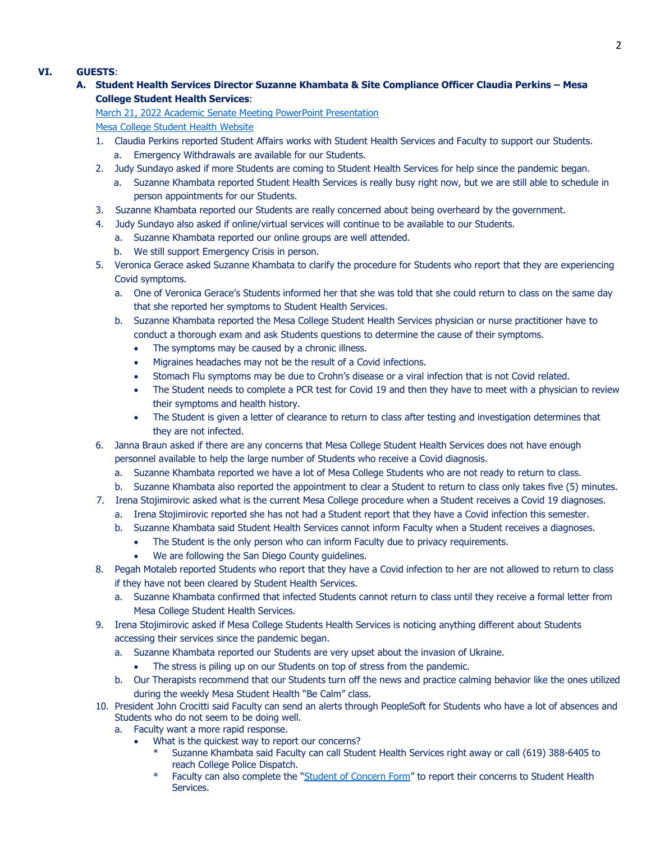## **VI. GUESTS**:

## **A. Student Health Services Director Suzanne Khambata & Site Compliance Officer Claudia Perkins – Mesa College Student Health Services**:

#### [March 21, 2022 Academic Senate Meeting PowerPoint Presentation](https://www.sdmesa.edu/about-mesa/governance/academic-senate/Academic%20Senate%20Student%20Clubs%20%20Support%20Groups.pdf)

### [Mesa College Student Health Website](https://www.sdmesa.edu/student-services/health-services/)

- 1. Claudia Perkins reported Student Affairs works with Student Health Services and Faculty to support our Students. a. Emergency Withdrawals are available for our Students.
- 2. Judy Sundayo asked if more Students are coming to Student Health Services for help since the pandemic began.
	- a. Suzanne Khambata reported Student Health Services is really busy right now, but we are still able to schedule in person appointments for our Students.
- 3. Suzanne Khambata reported our Students are really concerned about being overheard by the government.
- 4. Judy Sundayo also asked if online/virtual services will continue to be available to our Students.
	- a. Suzanne Khambata reported our online groups are well attended.
	- b. We still support Emergency Crisis in person.
- 5. Veronica Gerace asked Suzanne Khambata to clarify the procedure for Students who report that they are experiencing Covid symptoms.
	- a. One of Veronica Gerace's Students informed her that she was told that she could return to class on the same day that she reported her symptoms to Student Health Services.
	- b. Suzanne Khambata reported the Mesa College Student Health Services physician or nurse practitioner have to conduct a thorough exam and ask Students questions to determine the cause of their symptoms.
		- The symptoms may be caused by a chronic illness.
		- Migraines headaches may not be the result of a Covid infections.
		- Stomach Flu symptoms may be due to Crohn's disease or a viral infection that is not Covid related.
		- The Student needs to complete a PCR test for Covid 19 and then they have to meet with a physician to review their symptoms and health history.
		- The Student is given a letter of clearance to return to class after testing and investigation determines that they are not infected.
- 6. Janna Braun asked if there are any concerns that Mesa College Student Health Services does not have enough personnel available to help the large number of Students who receive a Covid diagnosis.
	- a. Suzanne Khambata reported we have a lot of Mesa College Students who are not ready to return to class.
	- b. Suzanne Khambata also reported the appointment to clear a Student to return to class only takes five (5) minutes.
- 7. Irena Stojimirovic asked what is the current Mesa College procedure when a Student receives a Covid 19 diagnoses.
	- a. Irena Stojimirovic reported she has not had a Student report that they have a Covid infection this semester.
	- b. Suzanne Khambata said Student Health Services cannot inform Faculty when a Student receives a diagnoses.
		- The Student is the only person who can inform Faculty due to privacy requirements.
			- We are following the San Diego County guidelines.
- 8. Pegah Motaleb reported Students who report that they have a Covid infection to her are not allowed to return to class if they have not been cleared by Student Health Services.
	- a. Suzanne Khambata confirmed that infected Students cannot return to class until they receive a formal letter from Mesa College Student Health Services.
- 9. Irena Stojimirovic asked if Mesa College Students Health Services is noticing anything different about Students accessing their services since the pandemic began.
	- a. Suzanne Khambata reported our Students are very upset about the invasion of Ukraine.
		- The stress is piling up on our Students on top of stress from the pandemic.
	- b. Our Therapists recommend that our Students turn off the news and practice calming behavior like the ones utilized during the weekly Mesa Student Health "Be Calm" class.
- 10. President John Crocitti said Faculty can send an alerts through PeopleSoft for Students who have a lot of absences and Students who do not seem to be doing well.
	- a. Faculty want a more rapid response.
		- What is the quickest way to report our concerns?
			- Suzanne Khambata said Faculty can call Student Health Services right away or call (619) 388-6405 to reach College Police Dispatch.
			- Faculty can also complete the "[Student of Concern](https://www.sdmesa.edu/college-services/administrative-services/forms/documents/health-services-student-referral.pdf) Form" to report their concerns to Student Health Services.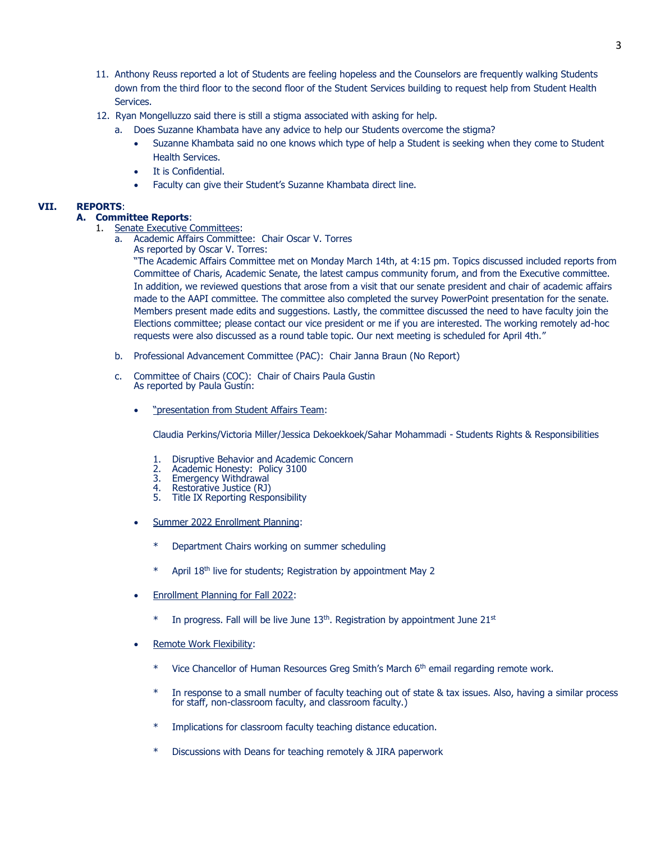- 11. Anthony Reuss reported a lot of Students are feeling hopeless and the Counselors are frequently walking Students down from the third floor to the second floor of the Student Services building to request help from Student Health Services.
- 12. Ryan Mongelluzzo said there is still a stigma associated with asking for help.
	- a. Does Suzanne Khambata have any advice to help our Students overcome the stigma?
		- Suzanne Khambata said no one knows which type of help a Student is seeking when they come to Student Health Services.
		- It is Confidential.
		- Faculty can give their Student's Suzanne Khambata direct line.

#### **VII. REPORTS**:

#### **A. Committee Reports**:

- 1. Senate Executive Committees:
	- a. Academic Affairs Committee: Chair Oscar V. Torres As reported by Oscar V. Torres:

"The Academic Affairs Committee met on Monday March 14th, at 4:15 pm. Topics discussed included reports from Committee of Charis, Academic Senate, the latest campus community forum, and from the Executive committee. In addition, we reviewed questions that arose from a visit that our senate president and chair of academic affairs made to the AAPI committee. The committee also completed the survey PowerPoint presentation for the senate. Members present made edits and suggestions. Lastly, the committee discussed the need to have faculty join the Elections committee; please contact our vice president or me if you are interested. The working remotely ad-hoc requests were also discussed as a round table topic. Our next meeting is scheduled for April 4th."

- b. Professional Advancement Committee (PAC): Chair Janna Braun (No Report)
- c. Committee of Chairs (COC): Chair of Chairs Paula Gustin As reported by Paula Gustin:
	- . "presentation from Student Affairs Team:

Claudia Perkins/Victoria Miller/Jessica Dekoekkoek/Sahar Mohammadi - Students Rights & Responsibilities

- 1. Disruptive Behavior and Academic Concern<br>2. Academic Honesty: Policy 3100
- 2. Academic Honesty: Policy 3100
- 3. Emergency Withdrawal<br>4. Restorative Justice (RJ)
- 4. Restorative Justice (RJ)<br>5. Title IX Reporting Respo
- Title IX Reporting Responsibility
- Summer 2022 Enrollment Planning:
	- \* Department Chairs working on summer scheduling
	- April 18<sup>th</sup> live for students; Registration by appointment May 2
- Enrollment Planning for Fall 2022:
	- $*$  In progress. Fall will be live June 13<sup>th</sup>. Registration by appointment June 21<sup>st</sup>
- Remote Work Flexibility:
	- $*$  Vice Chancellor of Human Resources Greg Smith's March  $6<sup>th</sup>$  email regarding remote work.
	- \* In response to a small number of faculty teaching out of state & tax issues. Also, having a similar process for staff, non-classroom faculty, and classroom faculty.)
	- \* Implications for classroom faculty teaching distance education.
	- \* Discussions with Deans for teaching remotely & JIRA paperwork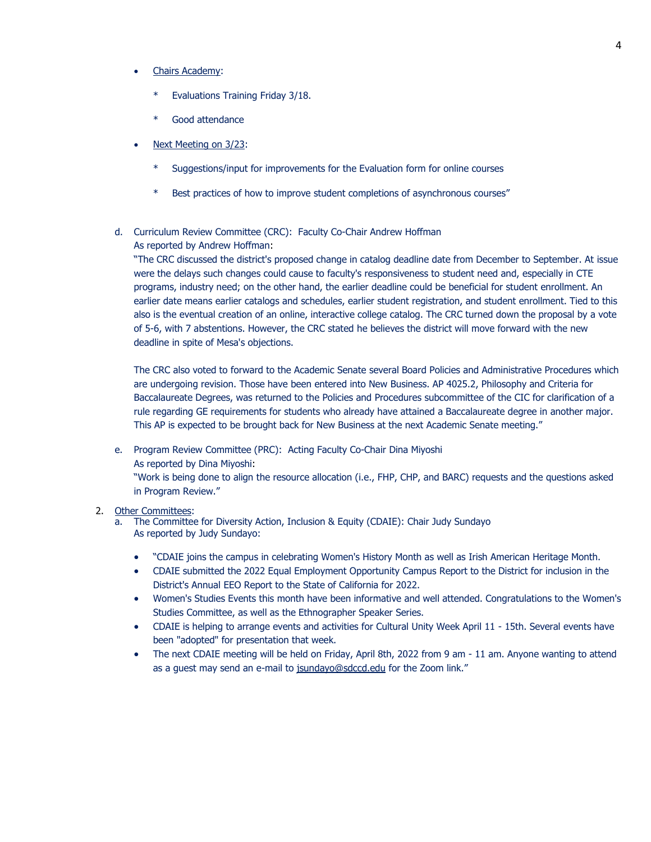- Chairs Academy:
	- Evaluations Training Friday 3/18.
	- Good attendance
- Next Meeting on 3/23:
	- Suggestions/input for improvements for the Evaluation form for online courses
	- \* Best practices of how to improve student completions of asynchronous courses"

### d. Curriculum Review Committee (CRC): Faculty Co-Chair Andrew Hoffman As reported by Andrew Hoffman:

"The CRC discussed the district's proposed change in catalog deadline date from December to September. At issue were the delays such changes could cause to faculty's responsiveness to student need and, especially in CTE programs, industry need; on the other hand, the earlier deadline could be beneficial for student enrollment. An earlier date means earlier catalogs and schedules, earlier student registration, and student enrollment. Tied to this also is the eventual creation of an online, interactive college catalog. The CRC turned down the proposal by a vote of 5-6, with 7 abstentions. However, the CRC stated he believes the district will move forward with the new deadline in spite of Mesa's objections.

The CRC also voted to forward to the Academic Senate several Board Policies and Administrative Procedures which are undergoing revision. Those have been entered into New Business. AP 4025.2, Philosophy and Criteria for Baccalaureate Degrees, was returned to the Policies and Procedures subcommittee of the CIC for clarification of a rule regarding GE requirements for students who already have attained a Baccalaureate degree in another major. This AP is expected to be brought back for New Business at the next Academic Senate meeting."

e. Program Review Committee (PRC): Acting Faculty Co-Chair Dina Miyoshi

As reported by Dina Miyoshi:

"Work is being done to align the resource allocation (i.e., FHP, CHP, and BARC) requests and the questions asked in Program Review."

## 2. Other Committees:

- a. The Committee for Diversity Action, Inclusion & Equity (CDAIE): Chair Judy Sundayo As reported by Judy Sundayo:
	- "CDAIE joins the campus in celebrating Women's History Month as well as Irish American Heritage Month.
	- CDAIE submitted the 2022 Equal Employment Opportunity Campus Report to the District for inclusion in the District's Annual EEO Report to the State of California for 2022.
	- Women's Studies Events this month have been informative and well attended. Congratulations to the Women's Studies Committee, as well as the Ethnographer Speaker Series.
	- CDAIE is helping to arrange events and activities for Cultural Unity Week April 11 15th. Several events have been "adopted" for presentation that week.
	- The next CDAIE meeting will be held on Friday, April 8th, 2022 from 9 am 11 am. Anyone wanting to attend as a guest may send an e-mail to [jsundayo@sdccd.edu](mailto:jsundayo@sdccd.edu) for the Zoom link."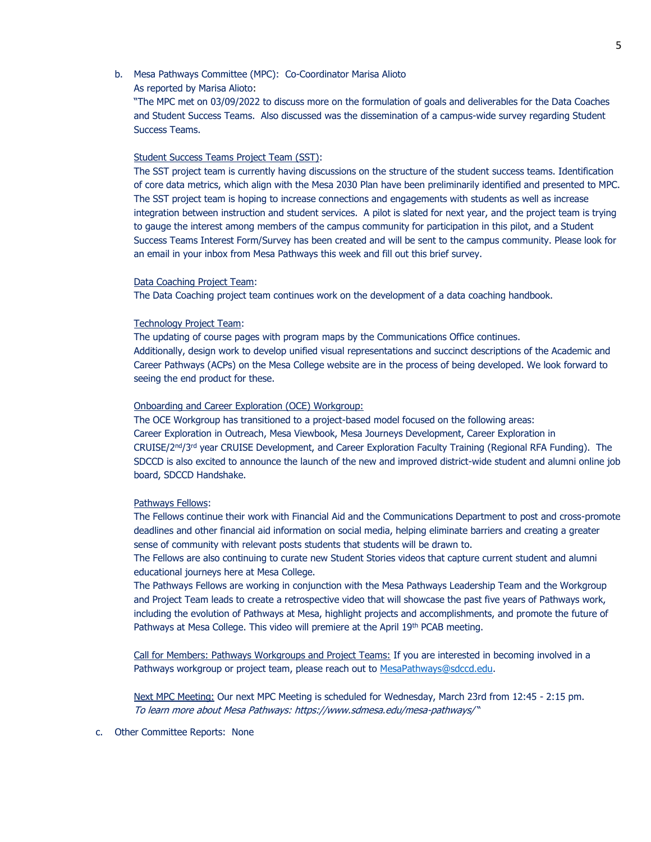## b. Mesa Pathways Committee (MPC): Co-Coordinator Marisa Alioto

As reported by Marisa Alioto:

"The MPC met on 03/09/2022 to discuss more on the formulation of goals and deliverables for the Data Coaches and Student Success Teams. Also discussed was the dissemination of a campus-wide survey regarding Student Success Teams.

### Student Success Teams Project Team (SST):

The SST project team is currently having discussions on the structure of the student success teams. Identification of core data metrics, which align with the Mesa 2030 Plan have been preliminarily identified and presented to MPC. The SST project team is hoping to increase connections and engagements with students as well as increase integration between instruction and student services. A pilot is slated for next year, and the project team is trying to gauge the interest among members of the campus community for participation in this pilot, and a Student Success Teams Interest Form/Survey has been created and will be sent to the campus community. Please look for an email in your inbox from Mesa Pathways this week and fill out this brief survey.

#### Data Coaching Project Team:

The Data Coaching project team continues work on the development of a data coaching handbook.

#### Technology Project Team:

The updating of course pages with program maps by the Communications Office continues. Additionally, design work to develop unified visual representations and succinct descriptions of the Academic and Career Pathways (ACPs) on the Mesa College website are in the process of being developed. We look forward to seeing the end product for these.

#### Onboarding and Career Exploration (OCE) Workgroup:

The OCE Workgroup has transitioned to a project-based model focused on the following areas: Career Exploration in Outreach, Mesa Viewbook, Mesa Journeys Development, Career Exploration in CRUISE/2<sup>nd</sup>/3<sup>rd</sup> year CRUISE Development, and Career Exploration Faculty Training (Regional RFA Funding). The SDCCD is also excited to announce the launch of the new and improved district-wide student and alumni online job board, SDCCD Handshake.

## Pathways Fellows:

The Fellows continue their work with Financial Aid and the Communications Department to post and cross-promote deadlines and other financial aid information on social media, helping eliminate barriers and creating a greater sense of community with relevant posts students that students will be drawn to.

The Fellows are also continuing to curate new Student Stories videos that capture current student and alumni educational journeys here at Mesa College.

The Pathways Fellows are working in conjunction with the Mesa Pathways Leadership Team and the Workgroup and Project Team leads to create a retrospective video that will showcase the past five years of Pathways work, including the evolution of Pathways at Mesa, highlight projects and accomplishments, and promote the future of Pathways at Mesa College. This video will premiere at the April 19<sup>th</sup> PCAB meeting.

Call for Members: Pathways Workgroups and Project Teams: If you are interested in becoming involved in a Pathways workgroup or project team, please reach out to [MesaPathways@sdccd.edu.](mailto:MesaPathways@sdccd.edu)

Next MPC Meeting: Our next MPC Meeting is scheduled for Wednesday, March 23rd from 12:45 - 2:15 pm. To learn more about Mesa Pathway[s:](https://www.sdmesa.edu/mesa-pathways/) <https://www.sdmesa.edu/mesa-pathways/> "

#### c. Other Committee Reports: None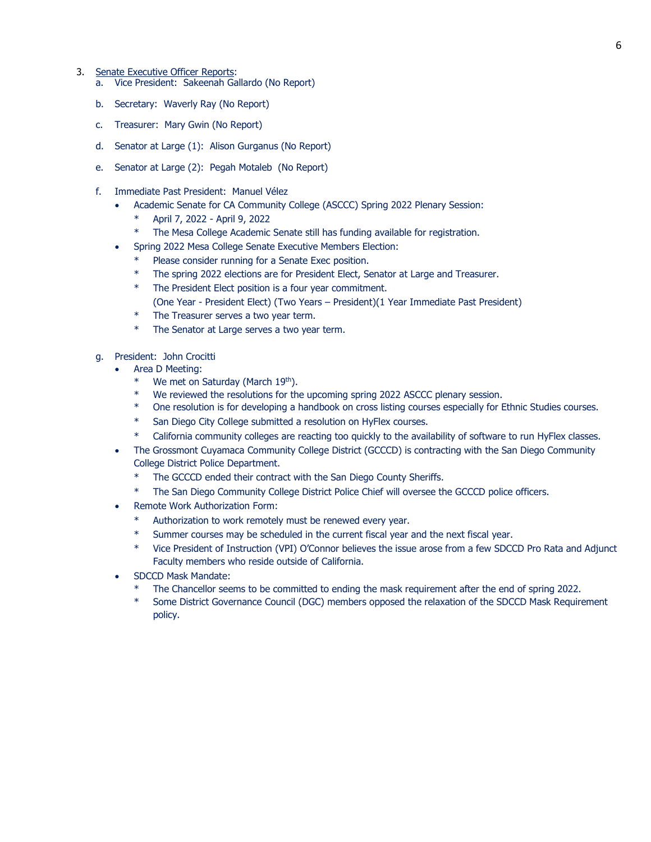#### 3. Senate Executive Officer Reports:

- a. Vice President: Sakeenah Gallardo (No Report)
- b. Secretary: Waverly Ray (No Report)
- c. Treasurer: Mary Gwin (No Report)
- d. Senator at Large (1): Alison Gurganus (No Report)
- e. Senator at Large (2): Pegah Motaleb (No Report)
- f. Immediate Past President: Manuel Vélez
	- Academic Senate for CA Community College (ASCCC) Spring 2022 Plenary Session:
		- April 7, 2022 April 9, 2022
		- \* The Mesa College Academic Senate still has funding available for registration.
	- Spring 2022 Mesa College Senate Executive Members Election:
		- Please consider running for a Senate Exec position.
		- The spring 2022 elections are for President Elect, Senator at Large and Treasurer.
		- \* The President Elect position is a four year commitment.
			- (One Year President Elect) (Two Years President)(1 Year Immediate Past President)
		- \* The Treasurer serves a two year term.
		- \* The Senator at Large serves a two year term.
- g. President: John Crocitti
	- Area D Meeting:
		- \* We met on Saturday (March 19th).
		- \* We reviewed the resolutions for the upcoming spring 2022 ASCCC plenary session.
		- \* One resolution is for developing a handbook on cross listing courses especially for Ethnic Studies courses.
		- \* San Diego City College submitted a resolution on HyFlex courses.
		- \* California community colleges are reacting too quickly to the availability of software to run HyFlex classes.
	- The Grossmont Cuyamaca Community College District (GCCCD) is contracting with the San Diego Community College District Police Department.
		- The GCCCD ended their contract with the San Diego County Sheriffs.
		- The San Diego Community College District Police Chief will oversee the GCCCD police officers.
	- Remote Work Authorization Form:
		- Authorization to work remotely must be renewed every year.
		- Summer courses may be scheduled in the current fiscal year and the next fiscal year.
		- Vice President of Instruction (VPI) O'Connor believes the issue arose from a few SDCCD Pro Rata and Adjunct Faculty members who reside outside of California.
	- SDCCD Mask Mandate:
		- The Chancellor seems to be committed to ending the mask requirement after the end of spring 2022.
		- Some District Governance Council (DGC) members opposed the relaxation of the SDCCD Mask Requirement policy.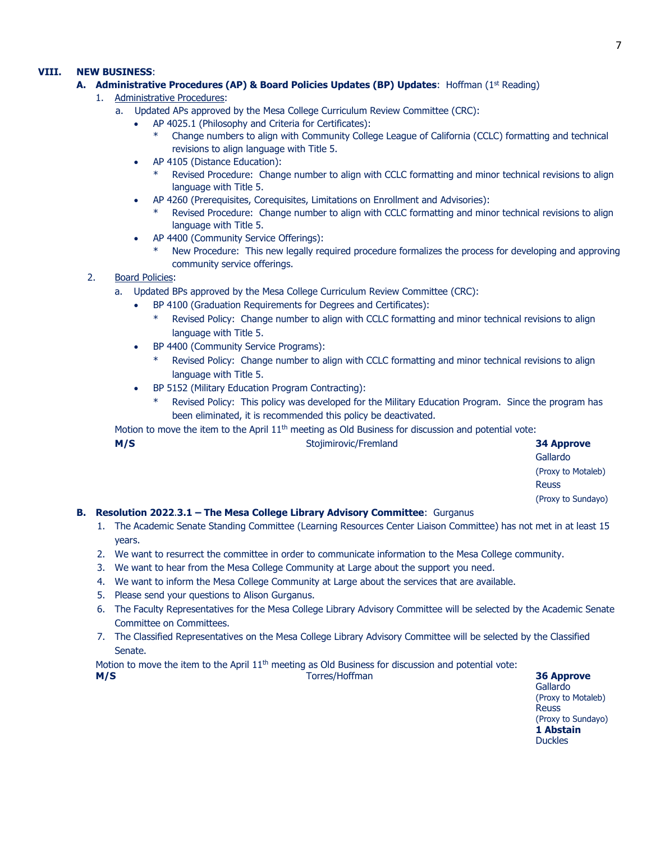## **VIII. NEW BUSINESS**:

## **A.** Administrative Procedures (AP) & Board Policies Updates (BP) Updates: Hoffman (1st Reading)

- 1. Administrative Procedures:
	- a. Updated APs approved by the Mesa College Curriculum Review Committee (CRC):
		- AP 4025.1 (Philosophy and Criteria for Certificates):
			- Change numbers to align with Community College League of California (CCLC) formatting and technical revisions to align language with Title 5.
		- AP 4105 (Distance Education):
			- \* Revised Procedure: Change number to align with CCLC formatting and minor technical revisions to align language with Title 5.
		- AP 4260 (Prerequisites, Corequisites, Limitations on Enrollment and Advisories):
			- Revised Procedure: Change number to align with CCLC formatting and minor technical revisions to align language with Title 5.
		- AP 4400 (Community Service Offerings):
			- New Procedure: This new legally required procedure formalizes the process for developing and approving community service offerings.
- 2. Board Policies:
	- a. Updated BPs approved by the Mesa College Curriculum Review Committee (CRC):
		- BP 4100 (Graduation Requirements for Degrees and Certificates):
			- Revised Policy: Change number to align with CCLC formatting and minor technical revisions to align language with Title 5.
		- BP 4400 (Community Service Programs):
			- Revised Policy: Change number to align with CCLC formatting and minor technical revisions to align language with Title 5.
		- BP 5152 (Military Education Program Contracting):
			- Revised Policy: This policy was developed for the Military Education Program. Since the program has been eliminated, it is recommended this policy be deactivated.

Motion to move the item to the April  $11<sup>th</sup>$  meeting as Old Business for discussion and potential vote:

| M/S | Stojimirovic/Fremland                                                    | <b>34 Approve</b>  |
|-----|--------------------------------------------------------------------------|--------------------|
|     |                                                                          | Gallardo           |
|     |                                                                          | (Proxy to Motaleb) |
|     |                                                                          | <b>Reuss</b>       |
|     |                                                                          | (Proxy to Sundayo) |
|     | olution 2022 2.1 - The Mess College Library Advisory Committee: Currenus |                    |

## **B. Resolution 2022**.**3.1 – The Mesa College Library Advisory Committee**: Gurganus

- 1. The Academic Senate Standing Committee (Learning Resources Center Liaison Committee) has not met in at least 15 years.
- 2. We want to resurrect the committee in order to communicate information to the Mesa College community.
- 3. We want to hear from the Mesa College Community at Large about the support you need.
- 4. We want to inform the Mesa College Community at Large about the services that are available.
- 5. Please send your questions to Alison Gurganus.
- 6. The Faculty Representatives for the Mesa College Library Advisory Committee will be selected by the Academic Senate Committee on Committees.
- 7. The Classified Representatives on the Mesa College Library Advisory Committee will be selected by the Classified Senate.

Motion to move the item to the April  $11<sup>th</sup>$  meeting as Old Business for discussion and potential vote: **M/S** Torres/Hoffman **36 Approve**

Gallardo (Proxy to Motaleb) **Reuss** (Proxy to Sundayo) **1 Abstain Duckles**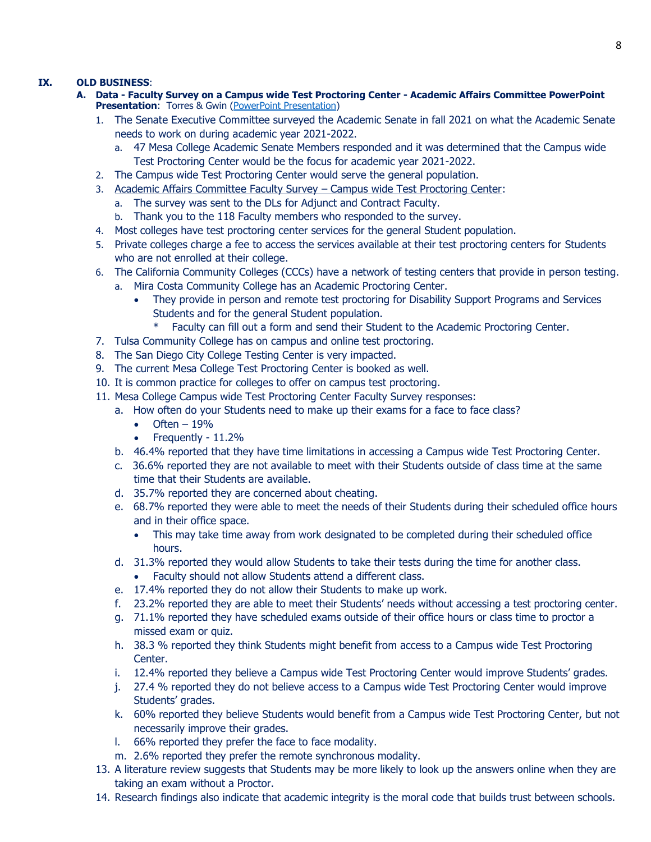## **IX. OLD BUSINESS**:

- **A. Data - Faculty Survey on a Campus wide Test Proctoring Center - Academic Affairs Committee PowerPoint Presentation:** Torres & Gwin [\(PowerPoint Presentation\)](https://www.sdmesa.edu/about-mesa/governance/academic-senate/Testing%20Center%20Survey.pdf)
	- 1. The Senate Executive Committee surveyed the Academic Senate in fall 2021 on what the Academic Senate needs to work on during academic year 2021-2022.
		- a. 47 Mesa College Academic Senate Members responded and it was determined that the Campus wide Test Proctoring Center would be the focus for academic year 2021-2022.
	- 2. The Campus wide Test Proctoring Center would serve the general population.
	- 3. Academic Affairs Committee Faculty Survey Campus wide Test Proctoring Center:
		- a. The survey was sent to the DLs for Adjunct and Contract Faculty.
		- b. Thank you to the 118 Faculty members who responded to the survey.
	- 4. Most colleges have test proctoring center services for the general Student population.
	- 5. Private colleges charge a fee to access the services available at their test proctoring centers for Students who are not enrolled at their college.
	- 6. The California Community Colleges (CCCs) have a network of testing centers that provide in person testing.
		- a. Mira Costa Community College has an Academic Proctoring Center.
			- They provide in person and remote test proctoring for Disability Support Programs and Services Students and for the general Student population.
				- Faculty can fill out a form and send their Student to the Academic Proctoring Center.
	- 7. Tulsa Community College has on campus and online test proctoring.
	- 8. The San Diego City College Testing Center is very impacted.
	- 9. The current Mesa College Test Proctoring Center is booked as well.
	- 10. It is common practice for colleges to offer on campus test proctoring.
	- 11. Mesa College Campus wide Test Proctoring Center Faculty Survey responses:
		- a. How often do your Students need to make up their exams for a face to face class?
			- $\bullet$  Often 19%
			- Frequently 11.2%
		- b. 46.4% reported that they have time limitations in accessing a Campus wide Test Proctoring Center.
		- c. 36.6% reported they are not available to meet with their Students outside of class time at the same time that their Students are available.
		- d. 35.7% reported they are concerned about cheating.
		- e. 68.7% reported they were able to meet the needs of their Students during their scheduled office hours and in their office space.
			- This may take time away from work designated to be completed during their scheduled office hours.
		- d. 31.3% reported they would allow Students to take their tests during the time for another class. Faculty should not allow Students attend a different class.
		- e. 17.4% reported they do not allow their Students to make up work.
		- f. 23.2% reported they are able to meet their Students' needs without accessing a test proctoring center.
		- g. 71.1% reported they have scheduled exams outside of their office hours or class time to proctor a missed exam or quiz.
		- h. 38.3 % reported they think Students might benefit from access to a Campus wide Test Proctoring Center.
		- i. 12.4% reported they believe a Campus wide Test Proctoring Center would improve Students' grades.
		- j. 27.4 % reported they do not believe access to a Campus wide Test Proctoring Center would improve Students' grades.
		- k. 60% reported they believe Students would benefit from a Campus wide Test Proctoring Center, but not necessarily improve their grades.
		- l. 66% reported they prefer the face to face modality.
		- m. 2.6% reported they prefer the remote synchronous modality.
	- 13. A literature review suggests that Students may be more likely to look up the answers online when they are taking an exam without a Proctor.
	- 14. Research findings also indicate that academic integrity is the moral code that builds trust between schools.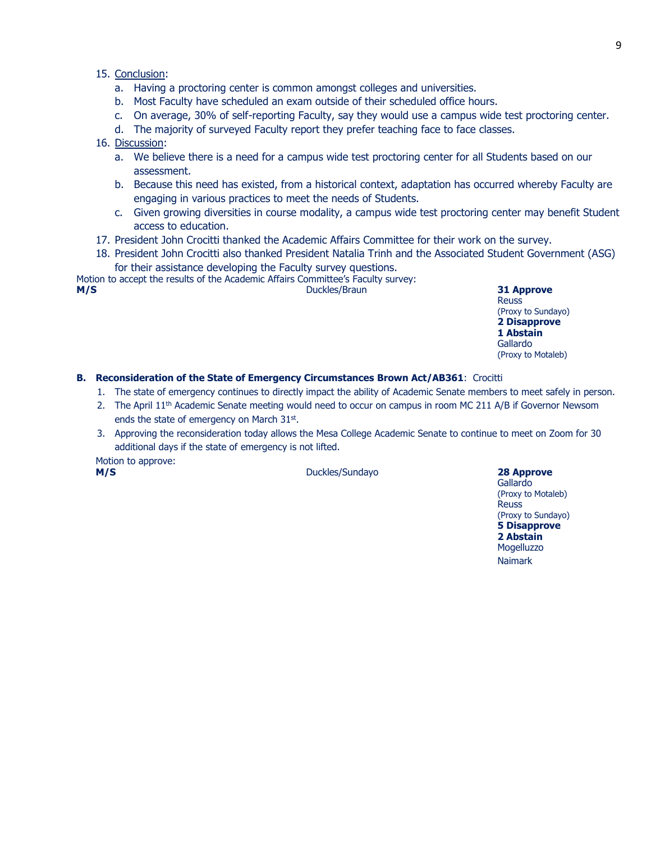- a. Having a proctoring center is common amongst colleges and universities.
- b. Most Faculty have scheduled an exam outside of their scheduled office hours.
- c. On average, 30% of self-reporting Faculty, say they would use a campus wide test proctoring center.
- d. The majority of surveyed Faculty report they prefer teaching face to face classes.

## 16. Discussion:

- a. We believe there is a need for a campus wide test proctoring center for all Students based on our assessment.
- b. Because this need has existed, from a historical context, adaptation has occurred whereby Faculty are engaging in various practices to meet the needs of Students.
- c. Given growing diversities in course modality, a campus wide test proctoring center may benefit Student access to education.
- 17. President John Crocitti thanked the Academic Affairs Committee for their work on the survey.
- 18. President John Crocitti also thanked President Natalia Trinh and the Associated Student Government (ASG) for their assistance developing the Faculty survey questions.

Motion to accept the results of the Academic Affairs Committee's Faculty survey: **M/S** Duckles/Braun **31 Approve** 

**Reuss** (Proxy to Sundayo) **2 Disapprove 1 Abstain** Gallardo (Proxy to Motaleb)

## **B. Reconsideration of the State of Emergency Circumstances Brown Act/AB361**: Crocitti

- 1. The state of emergency continues to directly impact the ability of Academic Senate members to meet safely in person.
- 2. The April 11<sup>th</sup> Academic Senate meeting would need to occur on campus in room MC 211 A/B if Governor Newsom ends the state of emergency on March 31st.
- 3. Approving the reconsideration today allows the Mesa College Academic Senate to continue to meet on Zoom for 30 additional days if the state of emergency is not lifted.

Motion to approve:

**M/S** Duckles/Sundayo **28 Approve**

Gallardo (Proxy to Motaleb) Reuss (Proxy to Sundayo) **5 Disapprove 2 Abstain** Mogelluzzo

Naimark